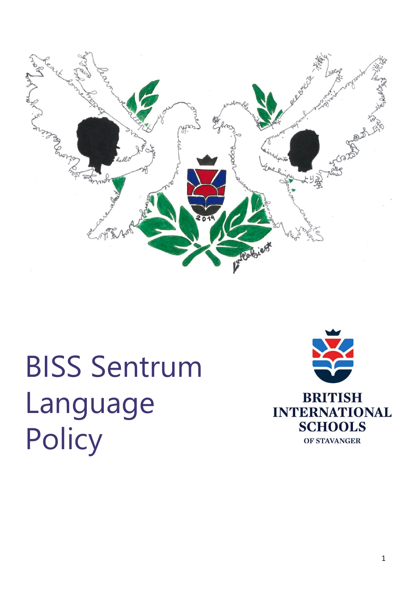

# BISS Sentrum Language **Policy**

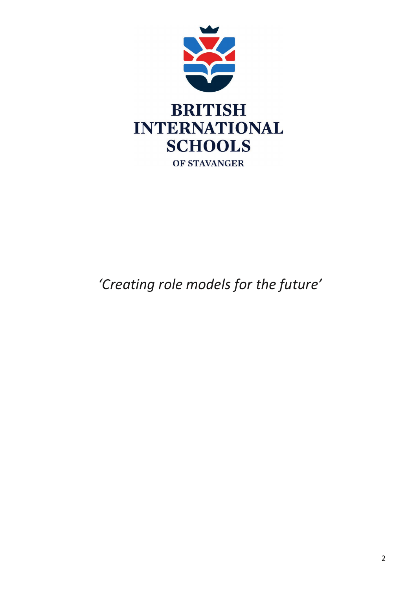

## *'Creating role models for the future'*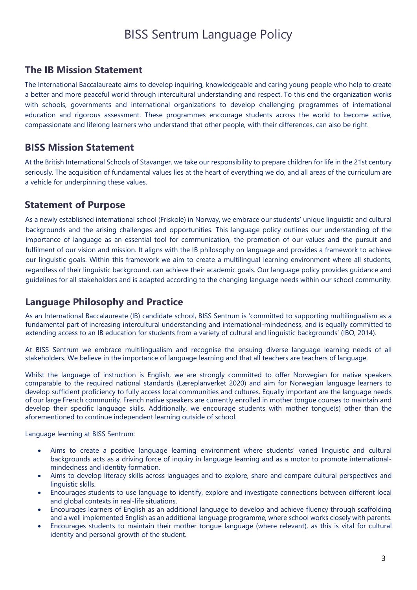### BISS Sentrum Language Policy

#### **The IB Mission Statement**

The International Baccalaureate aims to develop inquiring, knowledgeable and caring young people who help to create a better and more peaceful world through intercultural understanding and respect. To this end the organization works with schools, governments and international organizations to develop challenging programmes of international education and rigorous assessment. These programmes encourage students across the world to become active, compassionate and lifelong learners who understand that other people, with their differences, can also be right.

#### **BISS Mission Statement**

At the British International Schools of Stavanger, we take our responsibility to prepare children for life in the 21st century seriously. The acquisition of fundamental values lies at the heart of everything we do, and all areas of the curriculum are a vehicle for underpinning these values.

#### **Statement of Purpose**

As a newly established international school (Friskole) in Norway, we embrace our students' unique linguistic and cultural backgrounds and the arising challenges and opportunities. This language policy outlines our understanding of the importance of language as an essential tool for communication, the promotion of our values and the pursuit and fulfilment of our vision and mission. It aligns with the IB philosophy on language and provides a framework to achieve our linguistic goals. Within this framework we aim to create a multilingual learning environment where all students, regardless of their linguistic background, can achieve their academic goals. Our language policy provides guidance and guidelines for all stakeholders and is adapted according to the changing language needs within our school community.

#### **Language Philosophy and Practice**

As an International Baccalaureate (IB) candidate school, BISS Sentrum is 'committed to supporting multilingualism as a fundamental part of increasing intercultural understanding and international-mindedness, and is equally committed to extending access to an IB education for students from a variety of cultural and linguistic backgrounds' (IBO, 2014).

At BISS Sentrum we embrace multilingualism and recognise the ensuing diverse language learning needs of all stakeholders. We believe in the importance of language learning and that all teachers are teachers of language.

Whilst the language of instruction is English, we are strongly committed to offer Norwegian for native speakers comparable to the required national standards (Læreplanverket 2020) and aim for Norwegian language learners to develop sufficient proficiency to fully access local communities and cultures. Equally important are the language needs of our large French community. French native speakers are currently enrolled in mother tongue courses to maintain and develop their specific language skills. Additionally, we encourage students with mother tongue(s) other than the aforementioned to continue independent learning outside of school.

Language learning at BISS Sentrum:

- Aims to create a positive language learning environment where students' varied linguistic and cultural backgrounds acts as a driving force of inquiry in language learning and as a motor to promote internationalmindedness and identity formation.
- Aims to develop literacy skills across languages and to explore, share and compare cultural perspectives and linguistic skills.
- Encourages students to use language to identify, explore and investigate connections between different local and global contexts in real-life situations.
- Encourages learners of English as an additional language to develop and achieve fluency through scaffolding and a well implemented English as an additional language programme, where school works closely with parents.
- Encourages students to maintain their mother tongue language (where relevant), as this is vital for cultural identity and personal growth of the student.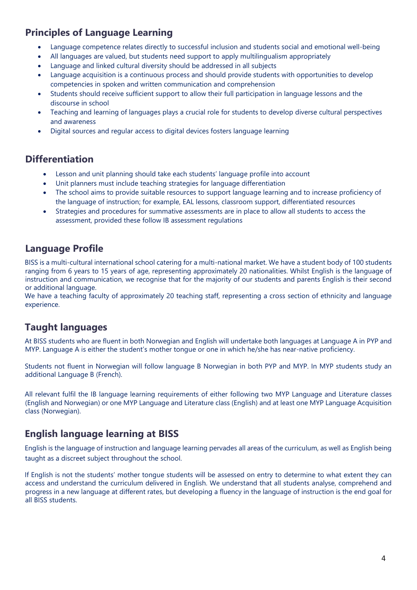#### **Principles of Language Learning**

- Language competence relates directly to successful inclusion and students social and emotional well-being
- All languages are valued, but students need support to apply multilingualism appropriately
- Language and linked cultural diversity should be addressed in all subjects
- Language acquisition is a continuous process and should provide students with opportunities to develop competencies in spoken and written communication and comprehension
- Students should receive sufficient support to allow their full participation in language lessons and the discourse in school
- Teaching and learning of languages plays a crucial role for students to develop diverse cultural perspectives and awareness
- Digital sources and regular access to digital devices fosters language learning

#### **Differentiation**

- Lesson and unit planning should take each students' language profile into account
- Unit planners must include teaching strategies for language differentiation
- The school aims to provide suitable resources to support language learning and to increase proficiency of the language of instruction; for example, EAL lessons, classroom support, differentiated resources
- Strategies and procedures for summative assessments are in place to allow all students to access the assessment, provided these follow IB assessment regulations

#### **Language Profile**

BISS is a multi-cultural international school catering for a multi-national market. We have a student body of 100 students ranging from 6 years to 15 years of age, representing approximately 20 nationalities. Whilst English is the language of instruction and communication, we recognise that for the majority of our students and parents English is their second or additional language.

We have a teaching faculty of approximately 20 teaching staff, representing a cross section of ethnicity and language experience.

#### **Taught languages**

At BISS students who are fluent in both Norwegian and English will undertake both languages at Language A in PYP and MYP. Language A is either the student's mother tongue or one in which he/she has near-native proficiency.

Students not fluent in Norwegian will follow language B Norwegian in both PYP and MYP. In MYP students study an additional Language B (French).

All relevant fulfil the IB language learning requirements of either following two MYP Language and Literature classes (English and Norwegian) or one MYP Language and Literature class (English) and at least one MYP Language Acquisition class (Norwegian).

#### **English language learning at BISS**

English is the language of instruction and language learning pervades all areas of the curriculum, as well as English being taught as a discreet subject throughout the school.

If English is not the students' mother tongue students will be assessed on entry to determine to what extent they can access and understand the curriculum delivered in English. We understand that all students analyse, comprehend and progress in a new language at different rates, but developing a fluency in the language of instruction is the end goal for all BISS students.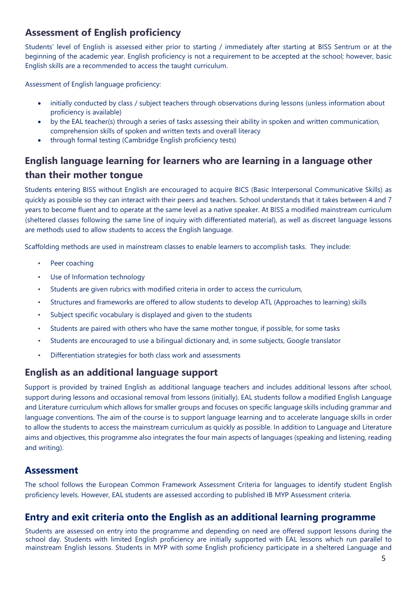#### **Assessment of English proficiency**

Students' level of English is assessed either prior to starting / immediately after starting at BISS Sentrum or at the beginning of the academic year. English proficiency is not a requirement to be accepted at the school; however, basic English skills are a recommended to access the taught curriculum.

Assessment of English language proficiency:

- initially conducted by class / subject teachers through observations during lessons (unless information about proficiency is available)
- by the EAL teacher(s) through a series of tasks assessing their ability in spoken and written communication, comprehension skills of spoken and written texts and overall literacy
- through formal testing (Cambridge English proficiency tests)

#### **English language learning for learners who are learning in a language other than their mother tongue**

Students entering BISS without English are encouraged to acquire BICS (Basic Interpersonal Communicative Skills) as quickly as possible so they can interact with their peers and teachers. School understands that it takes between 4 and 7 years to become fluent and to operate at the same level as a native speaker. At BISS a modified mainstream curriculum (sheltered classes following the same line of inquiry with differentiated material), as well as discreet language lessons are methods used to allow students to access the English language.

Scaffolding methods are used in mainstream classes to enable learners to accomplish tasks. They include:

- Peer coaching
- Use of Information technology
- Students are given rubrics with modified criteria in order to access the curriculum,
- Structures and frameworks are offered to allow students to develop ATL (Approaches to learning) skills
- Subject specific vocabulary is displayed and given to the students
- Students are paired with others who have the same mother tongue, if possible, for some tasks
- Students are encouraged to use a bilingual dictionary and, in some subjects, Google translator
- Differentiation strategies for both class work and assessments

#### **English as an additional language support**

Support is provided by trained English as additional language teachers and includes additional lessons after school, support during lessons and occasional removal from lessons (initially). EAL students follow a modified English Language and Literature curriculum which allows for smaller groups and focuses on specific language skills including grammar and language conventions. The aim of the course is to support language learning and to accelerate language skills in order to allow the students to access the mainstream curriculum as quickly as possible. In addition to Language and Literature aims and objectives, this programme also integrates the four main aspects of languages (speaking and listening, reading and writing).

#### **Assessment**

The school follows the European Common Framework Assessment Criteria for languages to identify student English proficiency levels. However, EAL students are assessed according to published IB MYP Assessment criteria.

#### **Entry and exit criteria onto the English as an additional learning programme**

Students are assessed on entry into the programme and depending on need are offered support lessons during the school day. Students with limited English proficiency are initially supported with EAL lessons which run parallel to mainstream English lessons. Students in MYP with some English proficiency participate in a sheltered Language and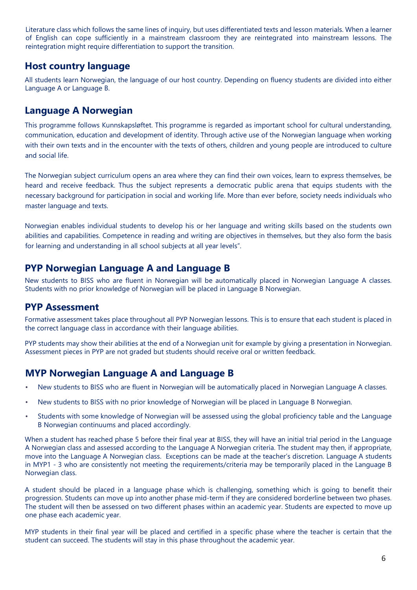Literature class which follows the same lines of inquiry, but uses differentiated texts and lesson materials. When a learner of English can cope sufficiently in a mainstream classroom they are reintegrated into mainstream lessons. The reintegration might require differentiation to support the transition.

#### **Host country language**

All students learn Norwegian, the language of our host country. Depending on fluency students are divided into either Language A or Language B.

#### **Language A Norwegian**

This programme follows Kunnskapsløftet. This programme is regarded as important school for cultural understanding, communication, education and development of identity. Through active use of the Norwegian language when working with their own texts and in the encounter with the texts of others, children and young people are introduced to culture and social life.

The Norwegian subject curriculum opens an area where they can find their own voices, learn to express themselves, be heard and receive feedback. Thus the subject represents a democratic public arena that equips students with the necessary background for participation in social and working life. More than ever before, society needs individuals who master language and texts.

Norwegian enables individual students to develop his or her language and writing skills based on the students own abilities and capabilities. Competence in reading and writing are objectives in themselves, but they also form the basis for learning and understanding in all school subjects at all year levels".

#### **PYP Norwegian Language A and Language B**

New students to BISS who are fluent in Norwegian will be automatically placed in Norwegian Language A classes. Students with no prior knowledge of Norwegian will be placed in Language B Norwegian.

#### **PYP Assessment**

Formative assessment takes place throughout all PYP Norwegian lessons. This is to ensure that each student is placed in the correct language class in accordance with their language abilities.

PYP students may show their abilities at the end of a Norwegian unit for example by giving a presentation in Norwegian. Assessment pieces in PYP are not graded but students should receive oral or written feedback.

#### **MYP Norwegian Language A and Language B**

- New students to BISS who are fluent in Norwegian will be automatically placed in Norwegian Language A classes.
- New students to BISS with no prior knowledge of Norwegian will be placed in Language B Norwegian.
- Students with some knowledge of Norwegian will be assessed using the global proficiency table and the Language B Norwegian continuums and placed accordingly.

When a student has reached phase 5 before their final year at BISS, they will have an initial trial period in the Language A Norwegian class and assessed according to the Language A Norwegian criteria. The student may then, if appropriate, move into the Language A Norwegian class. Exceptions can be made at the teacher's discretion. Language A students in MYP1 - 3 who are consistently not meeting the requirements/criteria may be temporarily placed in the Language B Norwegian class.

A student should be placed in a language phase which is challenging, something which is going to benefit their progression. Students can move up into another phase mid-term if they are considered borderline between two phases. The student will then be assessed on two different phases within an academic year. Students are expected to move up one phase each academic year.

MYP students in their final year will be placed and certified in a specific phase where the teacher is certain that the student can succeed. The students will stay in this phase throughout the academic year.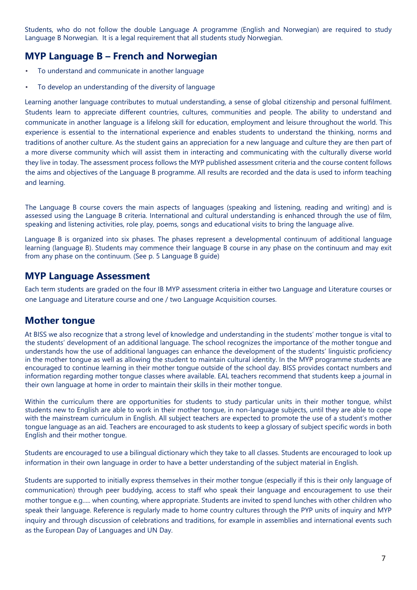Students, who do not follow the double Language A programme (English and Norwegian) are required to study Language B Norwegian. It is a legal requirement that all students study Norwegian.

#### **MYP Language B – French and Norwegian**

- To understand and communicate in another language
- To develop an understanding of the diversity of language

Learning another language contributes to mutual understanding, a sense of global citizenship and personal fulfilment. Students learn to appreciate different countries, cultures, communities and people. The ability to understand and communicate in another language is a lifelong skill for education, employment and leisure throughout the world. This experience is essential to the international experience and enables students to understand the thinking, norms and traditions of another culture. As the student gains an appreciation for a new language and culture they are then part of a more diverse community which will assist them in interacting and communicating with the culturally diverse world they live in today. The assessment process follows the MYP published assessment criteria and the course content follows the aims and objectives of the Language B programme. All results are recorded and the data is used to inform teaching and learning.

The Language B course covers the main aspects of languages (speaking and listening, reading and writing) and is assessed using the Language B criteria. International and cultural understanding is enhanced through the use of film, speaking and listening activities, role play, poems, songs and educational visits to bring the language alive.

Language B is organized into six phases. The phases represent a developmental continuum of additional language learning (language B). Students may commence their language B course in any phase on the continuum and may exit from any phase on the continuum. (See p. 5 Language B guide)

#### **MYP Language Assessment**

Each term students are graded on the four IB MYP assessment criteria in either two Language and Literature courses or one Language and Literature course and one / two Language Acquisition courses.

#### **Mother tongue**

At BISS we also recognize that a strong level of knowledge and understanding in the students' mother tongue is vital to the students' development of an additional language. The school recognizes the importance of the mother tongue and understands how the use of additional languages can enhance the development of the students' linguistic proficiency in the mother tongue as well as allowing the student to maintain cultural identity. In the MYP programme students are encouraged to continue learning in their mother tongue outside of the school day. BISS provides contact numbers and information regarding mother tongue classes where available. EAL teachers recommend that students keep a journal in their own language at home in order to maintain their skills in their mother tongue.

Within the curriculum there are opportunities for students to study particular units in their mother tongue, whilst students new to English are able to work in their mother tongue, in non-language subjects, until they are able to cope with the mainstream curriculum in English. All subject teachers are expected to promote the use of a student's mother tongue language as an aid. Teachers are encouraged to ask students to keep a glossary of subject specific words in both English and their mother tongue.

Students are encouraged to use a bilingual dictionary which they take to all classes. Students are encouraged to look up information in their own language in order to have a better understanding of the subject material in English.

Students are supported to initially express themselves in their mother tongue (especially if this is their only language of communication) through peer buddying, access to staff who speak their language and encouragement to use their mother tongue e.g..... when counting, where appropriate. Students are invited to spend lunches with other children who speak their language. Reference is regularly made to home country cultures through the PYP units of inquiry and MYP inquiry and through discussion of celebrations and traditions, for example in assemblies and international events such as the European Day of Languages and UN Day.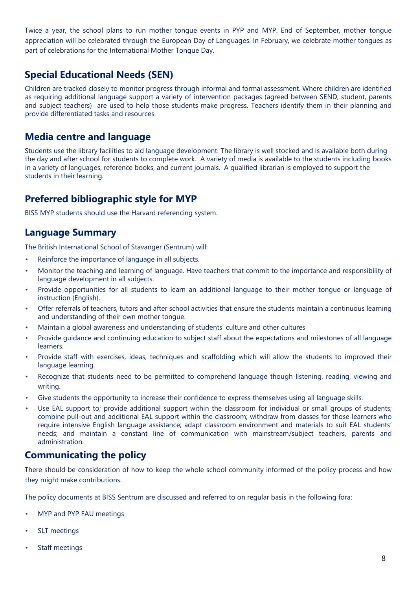Twice a year, the school plans to run mother tongue events in PYP and MYP. End of September, mother tongue appreciation will be celebrated through the European Day of Languages. In February, we celebrate mother tongues as part of celebrations for the International Mother Tongue Day.

#### **Special Educational Needs (SEN)**

Children are tracked closely to monitor progress through informal and formal assessment. Where children are identified as requiring additional language support a variety of intervention packages (agreed between SEND, student, parents and subject teachers) are used to help those students make progress. Teachers identify them in their planning and provide differentiated tasks and resources.

#### **Media centre and language**

Students use the library facilities to aid language development. The library is well stocked and is available both during the day and after school for students to complete work. A variety of media is available to the students including books in a variety of languages, reference books, and current journals. A qualified librarian is employed to support the students in their learning.

#### **Preferred bibliographic style for MYP**

BISS MYP students should use the Harvard referencing system.

#### **Language Summary**

The British International School of Stavanger (Sentrum) will:

- Reinforce the importance of language in all subjects.
- Monitor the teaching and learning of language. Have teachers that commit to the importance and responsibility of language development in all subjects.
- Provide opportunities for all students to learn an additional language to their mother tongue or language of instruction (English).
- Offer referrals of teachers, tutors and after school activities that ensure the students maintain a continuous learning and understanding of their own mother tongue.
- Maintain a global awareness and understanding of students' culture and other cultures
- Provide guidance and continuing education to subject staff about the expectations and milestones of all language learners.
- Provide staff with exercises, ideas, techniques and scaffolding which will allow the students to improved their language learning.
- Recognize that students need to be permitted to comprehend language though listening, reading, viewing and writing.
- Give students the opportunity to increase their confidence to express themselves using all language skills.
- Use EAL support to; provide additional support within the classroom for individual or small groups of students; combine pull-out and additional EAL support within the classroom; withdraw from classes for those learners who require intensive English language assistance; adapt classroom environment and materials to suit EAL students' needs; and maintain a constant line of communication with mainstream/subject teachers, parents and administration.

#### **Communicating the policy**

There should be consideration of how to keep the whole school community informed of the policy process and how they might make contributions.

The policy documents at BISS Sentrum are discussed and referred to on regular basis in the following fora:

- MYP and PYP FAU meetings
- SLT meetings
- Staff meetings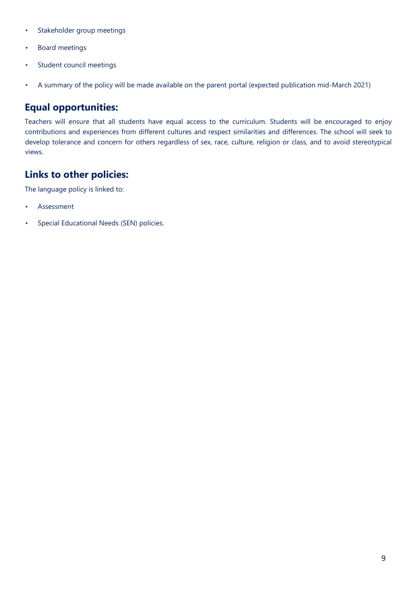- Stakeholder group meetings
- Board meetings
- Student council meetings
- A summary of the policy will be made available on the parent portal (expected publication mid-March 2021)

#### **Equal opportunities:**

Teachers will ensure that all students have equal access to the curriculum. Students will be encouraged to enjoy contributions and experiences from different cultures and respect similarities and differences. The school will seek to develop tolerance and concern for others regardless of sex, race, culture, religion or class, and to avoid stereotypical views.

#### **Links to other policies:**

The language policy is linked to:

- Assessment
- Special Educational Needs (SEN) policies.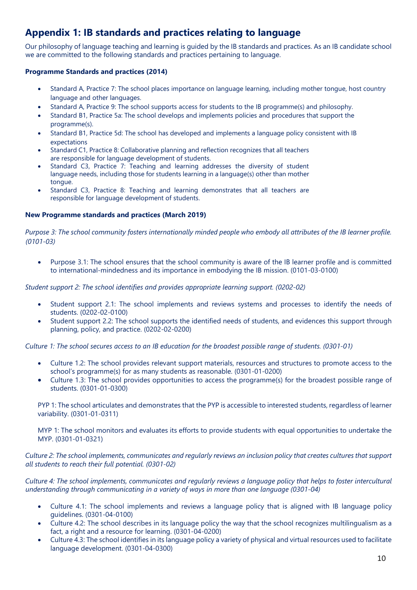#### **Appendix 1: IB standards and practices relating to language**

Our philosophy of language teaching and learning is guided by the IB standards and practices. As an IB candidate school we are committed to the following standards and practices pertaining to language.

#### **Programme Standards and practices (2014)**

- Standard A, Practice 7: The school places importance on language learning, including mother tongue, host country language and other languages.
- Standard A, Practice 9: The school supports access for students to the IB programme(s) and philosophy.
- Standard B1, Practice 5a: The school develops and implements policies and procedures that support the programme(s).
- Standard B1, Practice 5d: The school has developed and implements a language policy consistent with IB expectations
- Standard C1, Practice 8: Collaborative planning and reflection recognizes that all teachers are responsible for language development of students.
- Standard C3, Practice 7: Teaching and learning addresses the diversity of student language needs, including those for students learning in a language(s) other than mother tongue.
- Standard C3, Practice 8: Teaching and learning demonstrates that all teachers are responsible for language development of students.

#### **New Programme standards and practices (March 2019)**

*Purpose 3: The school community fosters internationally minded people who embody all attributes of the IB learner profile. (0101-03)*

• Purpose 3.1: The school ensures that the school community is aware of the IB learner profile and is committed to international-mindedness and its importance in embodying the IB mission. (0101-03-0100)

*Student support 2: The school identifies and provides appropriate learning support. (0202-02)*

- Student support 2.1: The school implements and reviews systems and processes to identify the needs of students. (0202-02-0100)
- Student support 2.2: The school supports the identified needs of students, and evidences this support through planning, policy, and practice. (0202-02-0200)

*Culture 1: The school secures access to an IB education for the broadest possible range of students. (0301-01)*

- Culture 1.2: The school provides relevant support materials, resources and structures to promote access to the school's programme(s) for as many students as reasonable. (0301-01-0200)
- Culture 1.3: The school provides opportunities to access the programme(s) for the broadest possible range of students. (0301-01-0300)

PYP 1: The school articulates and demonstrates that the PYP is accessible to interested students, regardless of learner variability. (0301-01-0311)

MYP 1: The school monitors and evaluates its efforts to provide students with equal opportunities to undertake the MYP. (0301-01-0321)

*Culture 2: The school implements, communicates and regularly reviews an inclusion policy that creates cultures that support all students to reach their full potential. (0301-02)*

*Culture 4: The school implements, communicates and regularly reviews a language policy that helps to foster intercultural understanding through communicating in a variety of ways in more than one language (0301-04)*

- Culture 4.1: The school implements and reviews a language policy that is aligned with IB language policy guidelines. (0301-04-0100)
- Culture 4.2: The school describes in its language policy the way that the school recognizes multilingualism as a fact, a right and a resource for learning. (0301-04-0200)
- Culture 4.3: The school identifies in its language policy a variety of physical and virtual resources used to facilitate language development. (0301-04-0300)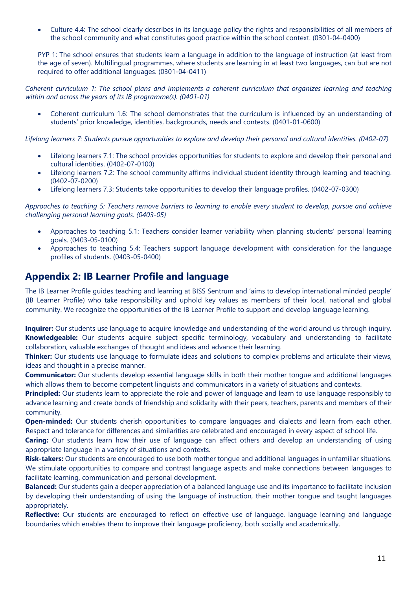• Culture 4.4: The school clearly describes in its language policy the rights and responsibilities of all members of the school community and what constitutes good practice within the school context. (0301-04-0400)

PYP 1: The school ensures that students learn a language in addition to the language of instruction (at least from the age of seven). Multilingual programmes, where students are learning in at least two languages, can but are not required to offer additional languages. (0301-04-0411)

*Coherent curriculum 1: The school plans and implements a coherent curriculum that organizes learning and teaching within and across the years of its IB programme(s). (0401-01)*

• Coherent curriculum 1.6: The school demonstrates that the curriculum is influenced by an understanding of students' prior knowledge, identities, backgrounds, needs and contexts. (0401-01-0600)

Lifelong learners 7: Students pursue opportunities to explore and develop their personal and cultural identities. (0402-07)

- Lifelong learners 7.1: The school provides opportunities for students to explore and develop their personal and cultural identities. (0402-07-0100)
- Lifelong learners 7.2: The school community affirms individual student identity through learning and teaching. (0402-07-0200)
- Lifelong learners 7.3: Students take opportunities to develop their language profiles. (0402-07-0300)

*Approaches to teaching 5: Teachers remove barriers to learning to enable every student to develop, pursue and achieve challenging personal learning goals. (0403-05)*

- Approaches to teaching 5.1: Teachers consider learner variability when planning students' personal learning goals. (0403-05-0100)
- Approaches to teaching 5.4: Teachers support language development with consideration for the language profiles of students. (0403-05-0400)

#### **Appendix 2: IB Learner Profile and language**

The IB Learner Profile guides teaching and learning at BISS Sentrum and 'aims to develop international minded people' (IB Learner Profile) who take responsibility and uphold key values as members of their local, national and global community. We recognize the opportunities of the IB Learner Profile to support and develop language learning.

**Inquirer:** Our students use language to acquire knowledge and understanding of the world around us through inquiry. **Knowledgeable:** Our students acquire subject specific terminology, vocabulary and understanding to facilitate collaboration, valuable exchanges of thought and ideas and advance their learning.

**Thinker:** Our students use language to formulate ideas and solutions to complex problems and articulate their views, ideas and thought in a precise manner.

**Communicator:** Our students develop essential language skills in both their mother tongue and additional languages which allows them to become competent linguists and communicators in a variety of situations and contexts.

**Principled:** Our students learn to appreciate the role and power of language and learn to use language responsibly to advance learning and create bonds of friendship and solidarity with their peers, teachers, parents and members of their community.

**Open-minded:** Our students cherish opportunities to compare languages and dialects and learn from each other. Respect and tolerance for differences and similarities are celebrated and encouraged in every aspect of school life.

**Caring:** Our students learn how their use of language can affect others and develop an understanding of using appropriate language in a variety of situations and contexts.

**Risk-takers:** Our students are encouraged to use both mother tongue and additional languages in unfamiliar situations. We stimulate opportunities to compare and contrast language aspects and make connections between languages to facilitate learning, communication and personal development.

**Balanced:** Our students gain a deeper appreciation of a balanced language use and its importance to facilitate inclusion by developing their understanding of using the language of instruction, their mother tongue and taught languages appropriately.

**Reflective:** Our students are encouraged to reflect on effective use of language, language learning and language boundaries which enables them to improve their language proficiency, both socially and academically.